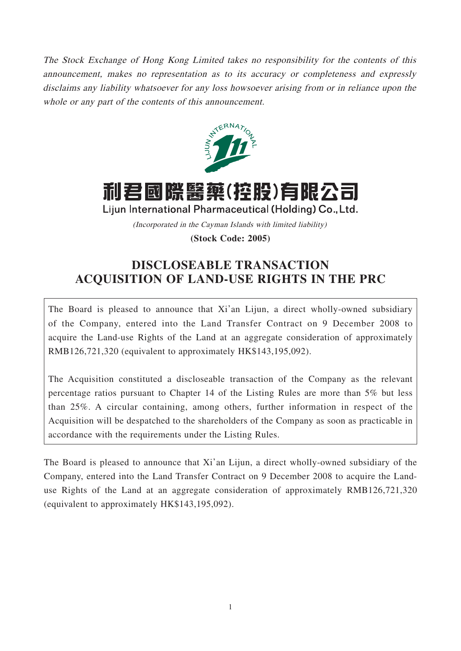The Stock Exchange of Hong Kong Limited takes no responsibility for the contents of this announcement, makes no representation as to its accuracy or completeness and expressly disclaims any liability whatsoever for any loss howsoever arising from or in reliance upon the whole or any part of the contents of this announcement.



# 利君國際醫藥(控股)有限公司

Lijun International Pharmaceutical (Holding) Co., Ltd.

(Incorporated in the Cayman Islands with limited liability)

**(Stock Code: 2005)**

## **DISCLOSEABLE TRANSACTION ACQUISITION OF LAND-USE RIGHTS IN THE PRC**

The Board is pleased to announce that Xi'an Lijun, a direct wholly-owned subsidiary of the Company, entered into the Land Transfer Contract on 9 December 2008 to acquire the Land-use Rights of the Land at an aggregate consideration of approximately RMB126,721,320 (equivalent to approximately HK\$143,195,092).

The Acquisition constituted a discloseable transaction of the Company as the relevant percentage ratios pursuant to Chapter 14 of the Listing Rules are more than 5% but less than 25%. A circular containing, among others, further information in respect of the Acquisition will be despatched to the shareholders of the Company as soon as practicable in accordance with the requirements under the Listing Rules.

The Board is pleased to announce that Xi'an Lijun, a direct wholly-owned subsidiary of the Company, entered into the Land Transfer Contract on 9 December 2008 to acquire the Landuse Rights of the Land at an aggregate consideration of approximately RMB126,721,320 (equivalent to approximately HK\$143,195,092).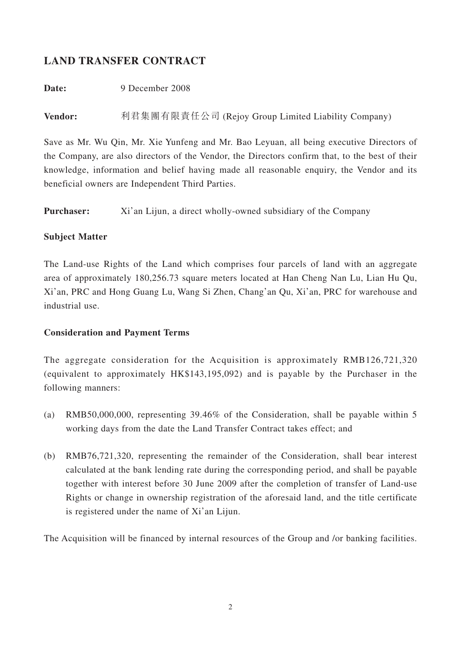## **LAND TRANSFER CONTRACT**

**Date:** 9 December 2008

**Vendor:** 利君集團有限責任公司 (Rejoy Group Limited Liability Company)

Save as Mr. Wu Qin, Mr. Xie Yunfeng and Mr. Bao Leyuan, all being executive Directors of the Company, are also directors of the Vendor, the Directors confirm that, to the best of their knowledge, information and belief having made all reasonable enquiry, the Vendor and its beneficial owners are Independent Third Parties.

**Purchaser:** Xi'an Lijun, a direct wholly-owned subsidiary of the Company

#### **Subject Matter**

The Land-use Rights of the Land which comprises four parcels of land with an aggregate area of approximately 180,256.73 square meters located at Han Cheng Nan Lu, Lian Hu Qu, Xi'an, PRC and Hong Guang Lu, Wang Si Zhen, Chang'an Qu, Xi'an, PRC for warehouse and industrial use.

#### **Consideration and Payment Terms**

The aggregate consideration for the Acquisition is approximately RMB126,721,320 (equivalent to approximately HK\$143,195,092) and is payable by the Purchaser in the following manners:

- (a) RMB50,000,000, representing 39.46% of the Consideration, shall be payable within 5 working days from the date the Land Transfer Contract takes effect; and
- (b) RMB76,721,320, representing the remainder of the Consideration, shall bear interest calculated at the bank lending rate during the corresponding period, and shall be payable together with interest before 30 June 2009 after the completion of transfer of Land-use Rights or change in ownership registration of the aforesaid land, and the title certificate is registered under the name of Xi'an Lijun.

The Acquisition will be financed by internal resources of the Group and /or banking facilities.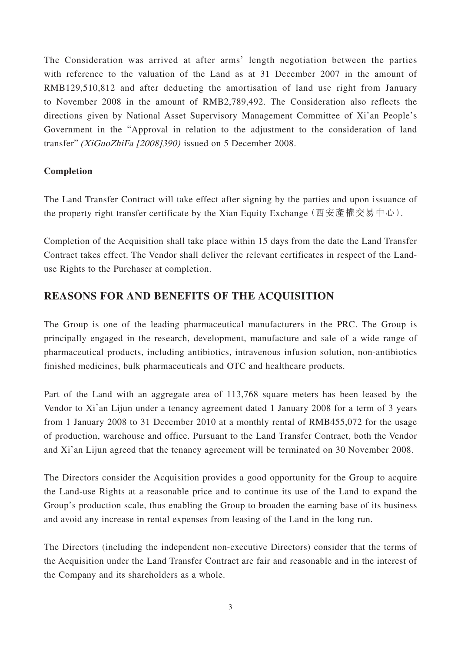The Consideration was arrived at after arms' length negotiation between the parties with reference to the valuation of the Land as at 31 December 2007 in the amount of RMB129,510,812 and after deducting the amortisation of land use right from January to November 2008 in the amount of RMB2,789,492. The Consideration also reflects the directions given by National Asset Supervisory Management Committee of Xi'an People's Government in the "Approval in relation to the adjustment to the consideration of land transfer" (XiGuoZhiFa [2008]390) issued on 5 December 2008.

#### **Completion**

The Land Transfer Contract will take effect after signing by the parties and upon issuance of the property right transfer certificate by the Xian Equity Exchange (西安產權交易中心).

Completion of the Acquisition shall take place within 15 days from the date the Land Transfer Contract takes effect. The Vendor shall deliver the relevant certificates in respect of the Landuse Rights to the Purchaser at completion.

## **REASONS FOR AND BENEFITS OF THE ACQUISITION**

The Group is one of the leading pharmaceutical manufacturers in the PRC. The Group is principally engaged in the research, development, manufacture and sale of a wide range of pharmaceutical products, including antibiotics, intravenous infusion solution, non-antibiotics finished medicines, bulk pharmaceuticals and OTC and healthcare products.

Part of the Land with an aggregate area of 113,768 square meters has been leased by the Vendor to Xi'an Lijun under a tenancy agreement dated 1 January 2008 for a term of 3 years from 1 January 2008 to 31 December 2010 at a monthly rental of RMB455,072 for the usage of production, warehouse and office. Pursuant to the Land Transfer Contract, both the Vendor and Xi'an Lijun agreed that the tenancy agreement will be terminated on 30 November 2008.

The Directors consider the Acquisition provides a good opportunity for the Group to acquire the Land-use Rights at a reasonable price and to continue its use of the Land to expand the Group's production scale, thus enabling the Group to broaden the earning base of its business and avoid any increase in rental expenses from leasing of the Land in the long run.

The Directors (including the independent non-executive Directors) consider that the terms of the Acquisition under the Land Transfer Contract are fair and reasonable and in the interest of the Company and its shareholders as a whole.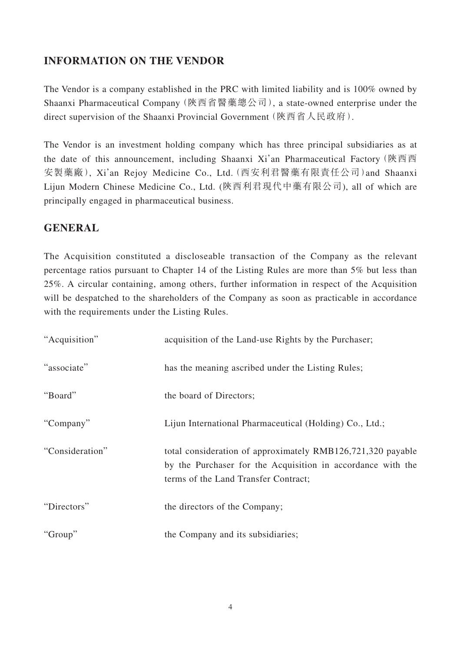## **INFORMATION ON THE VENDOR**

The Vendor is a company established in the PRC with limited liability and is 100% owned by Shaanxi Pharmaceutical Company(陝西省醫藥總公司), a state-owned enterprise under the direct supervision of the Shaanxi Provincial Government(陝西省人民政府).

The Vendor is an investment holding company which has three principal subsidiaries as at the date of this announcement, including Shaanxi Xi'an Pharmaceutical Factory(陝西西 安製藥廠), Xi'an Rejoy Medicine Co., Ltd.(西安利君醫藥有限責任公司)and Shaanxi Lijun Modern Chinese Medicine Co., Ltd. (陝西利君現代中藥有限公司), all of which are principally engaged in pharmaceutical business.

### **GENERAL**

The Acquisition constituted a discloseable transaction of the Company as the relevant percentage ratios pursuant to Chapter 14 of the Listing Rules are more than 5% but less than 25%. A circular containing, among others, further information in respect of the Acquisition will be despatched to the shareholders of the Company as soon as practicable in accordance with the requirements under the Listing Rules.

| "Acquisition"   | acquisition of the Land-use Rights by the Purchaser;                                                                                                               |
|-----------------|--------------------------------------------------------------------------------------------------------------------------------------------------------------------|
| "associate"     | has the meaning ascribed under the Listing Rules;                                                                                                                  |
| "Board"         | the board of Directors;                                                                                                                                            |
| "Company"       | Lijun International Pharmaceutical (Holding) Co., Ltd.;                                                                                                            |
| "Consideration" | total consideration of approximately RMB126,721,320 payable<br>by the Purchaser for the Acquisition in accordance with the<br>terms of the Land Transfer Contract; |
| "Directors"     | the directors of the Company;                                                                                                                                      |
| "Group"         | the Company and its subsidiaries;                                                                                                                                  |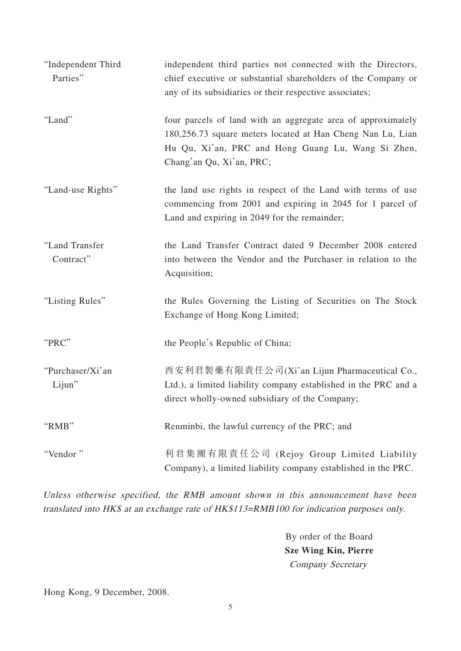| "Independent Third<br>Parties" | independent third parties not connected with the Directors,<br>chief executive or substantial shareholders of the Company or<br>any of its subsidiaries or their respective associates;                      |
|--------------------------------|--------------------------------------------------------------------------------------------------------------------------------------------------------------------------------------------------------------|
| "Land"                         | four parcels of land with an aggregate area of approximately<br>180,256.73 square meters located at Han Cheng Nan Lu, Lian<br>Hu Qu, Xi'an, PRC and Hong Guang Lu, Wang Si Zhen,<br>Chang'an Qu, Xi'an, PRC; |
| "Land-use Rights"              | the land use rights in respect of the Land with terms of use<br>commencing from 2001 and expiring in 2045 for 1 parcel of<br>Land and expiring in 2049 for the remainder;                                    |
| "Land Transfer<br>Contract"    | the Land Transfer Contract dated 9 December 2008 entered<br>into between the Vendor and the Purchaser in relation to the<br>Acquisition;                                                                     |
| "Listing Rules"                | the Rules Governing the Listing of Securities on The Stock<br>Exchange of Hong Kong Limited;                                                                                                                 |
| "PRC"                          | the People's Republic of China;                                                                                                                                                                              |
| "Purchaser/Xi'an<br>Lijun"     | 西安利君製藥有限責任公司(Xi'an Lijun Pharmaceutical Co.,<br>Ltd.), a limited liability company established in the PRC and a<br>direct wholly-owned subsidiary of the Company;                                            |
| "RMB"                          | Renminbi, the lawful currency of the PRC; and                                                                                                                                                                |
| "Vendor"                       | 利君集團有限責任公司 (Rejoy Group Limited Liability<br>Company), a limited liability company established in the PRC.                                                                                                   |

Unless otherwise specified, the RMB amount shown in this announcement have been translated into HK\$ at an exchange rate of HK\$113=RMB100 for indication purposes only.

> By order of the Board **Sze Wing Kin, Pierre** Company Secretary

Hong Kong, 9 December, 2008.